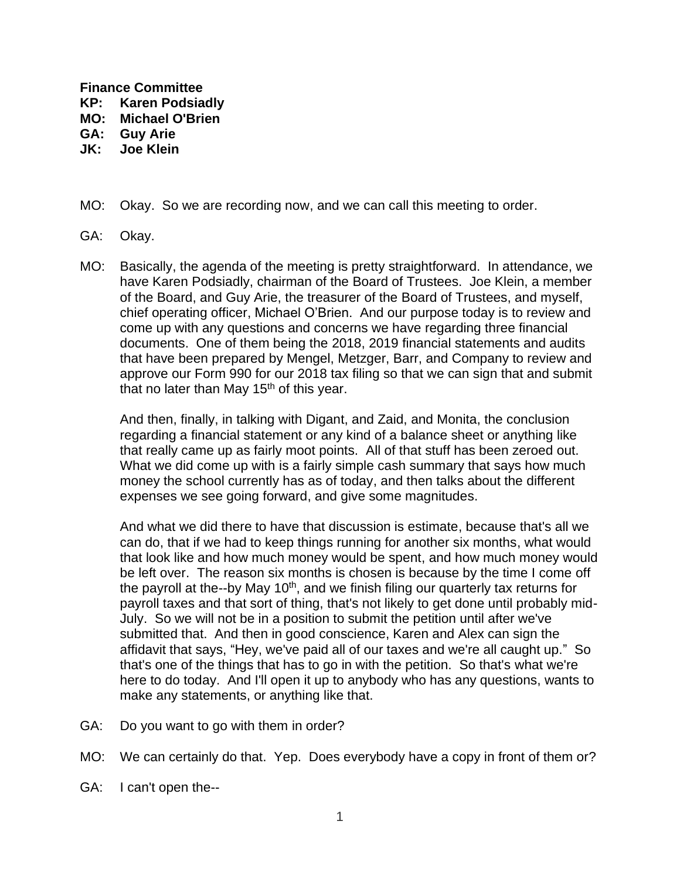**Finance Committee**

- **KP: Karen Podsiadly**
- **MO: Michael O'Brien**
- **GA: Guy Arie**
- **JK: Joe Klein**
- MO: Okay. So we are recording now, and we can call this meeting to order.
- GA: Okay.
- MO: Basically, the agenda of the meeting is pretty straightforward. In attendance, we have Karen Podsiadly, chairman of the Board of Trustees. Joe Klein, a member of the Board, and Guy Arie, the treasurer of the Board of Trustees, and myself, chief operating officer, Michael O'Brien. And our purpose today is to review and come up with any questions and concerns we have regarding three financial documents. One of them being the 2018, 2019 financial statements and audits that have been prepared by Mengel, Metzger, Barr, and Company to review and approve our Form 990 for our 2018 tax filing so that we can sign that and submit that no later than May  $15<sup>th</sup>$  of this year.

And then, finally, in talking with Digant, and Zaid, and Monita, the conclusion regarding a financial statement or any kind of a balance sheet or anything like that really came up as fairly moot points. All of that stuff has been zeroed out. What we did come up with is a fairly simple cash summary that says how much money the school currently has as of today, and then talks about the different expenses we see going forward, and give some magnitudes.

And what we did there to have that discussion is estimate, because that's all we can do, that if we had to keep things running for another six months, what would that look like and how much money would be spent, and how much money would be left over. The reason six months is chosen is because by the time I come off the payroll at the--by May 10<sup>th</sup>, and we finish filing our quarterly tax returns for payroll taxes and that sort of thing, that's not likely to get done until probably mid-July. So we will not be in a position to submit the petition until after we've submitted that. And then in good conscience, Karen and Alex can sign the affidavit that says, "Hey, we've paid all of our taxes and we're all caught up." So that's one of the things that has to go in with the petition. So that's what we're here to do today. And I'll open it up to anybody who has any questions, wants to make any statements, or anything like that.

- GA: Do you want to go with them in order?
- MO: We can certainly do that. Yep. Does everybody have a copy in front of them or?
- GA: I can't open the--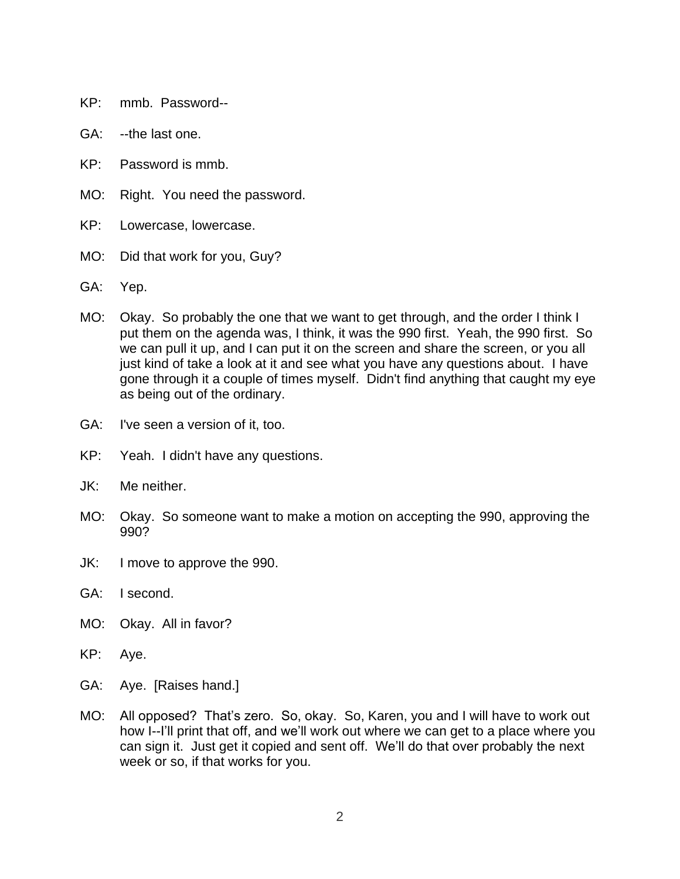- KP: mmb. Password--
- GA: --the last one.
- KP: Password is mmb.
- MO: Right. You need the password.
- KP: Lowercase, lowercase.
- MO: Did that work for you, Guy?
- GA: Yep.
- MO: Okay. So probably the one that we want to get through, and the order I think I put them on the agenda was, I think, it was the 990 first. Yeah, the 990 first. So we can pull it up, and I can put it on the screen and share the screen, or you all just kind of take a look at it and see what you have any questions about. I have gone through it a couple of times myself. Didn't find anything that caught my eye as being out of the ordinary.
- GA: I've seen a version of it, too.
- KP: Yeah. I didn't have any questions.
- JK: Me neither.
- MO: Okay. So someone want to make a motion on accepting the 990, approving the 990?
- JK: I move to approve the 990.
- GA: I second.
- MO: Okay. All in favor?
- KP: Aye.
- GA: Aye. [Raises hand.]
- MO: All opposed? That's zero. So, okay. So, Karen, you and I will have to work out how I--I'll print that off, and we'll work out where we can get to a place where you can sign it. Just get it copied and sent off. We'll do that over probably the next week or so, if that works for you.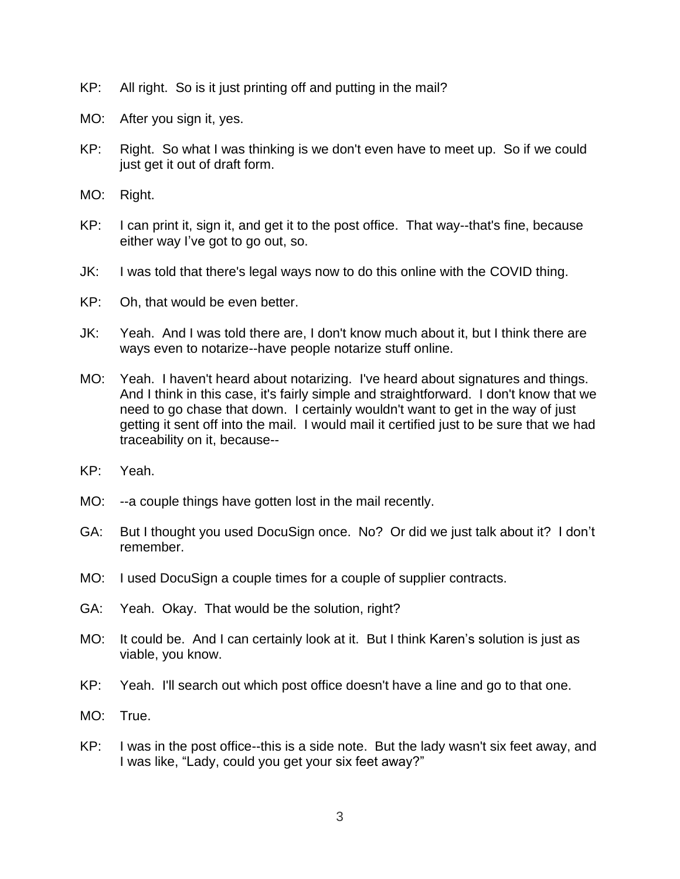- KP: All right. So is it just printing off and putting in the mail?
- MO: After you sign it, yes.
- KP: Right. So what I was thinking is we don't even have to meet up. So if we could just get it out of draft form.
- MO: Right.
- KP: I can print it, sign it, and get it to the post office. That way--that's fine, because either way I've got to go out, so.
- JK: I was told that there's legal ways now to do this online with the COVID thing.
- KP: Oh, that would be even better.
- JK: Yeah. And I was told there are, I don't know much about it, but I think there are ways even to notarize--have people notarize stuff online.
- MO: Yeah. I haven't heard about notarizing. I've heard about signatures and things. And I think in this case, it's fairly simple and straightforward. I don't know that we need to go chase that down. I certainly wouldn't want to get in the way of just getting it sent off into the mail. I would mail it certified just to be sure that we had traceability on it, because--
- KP: Yeah.
- MO: --a couple things have gotten lost in the mail recently.
- GA: But I thought you used DocuSign once. No? Or did we just talk about it? I don't remember.
- MO: I used DocuSign a couple times for a couple of supplier contracts.
- GA: Yeah. Okay. That would be the solution, right?
- MO: It could be. And I can certainly look at it. But I think Karen's solution is just as viable, you know.
- KP: Yeah. I'll search out which post office doesn't have a line and go to that one.
- MO: True.
- KP: I was in the post office--this is a side note. But the lady wasn't six feet away, and I was like, "Lady, could you get your six feet away?"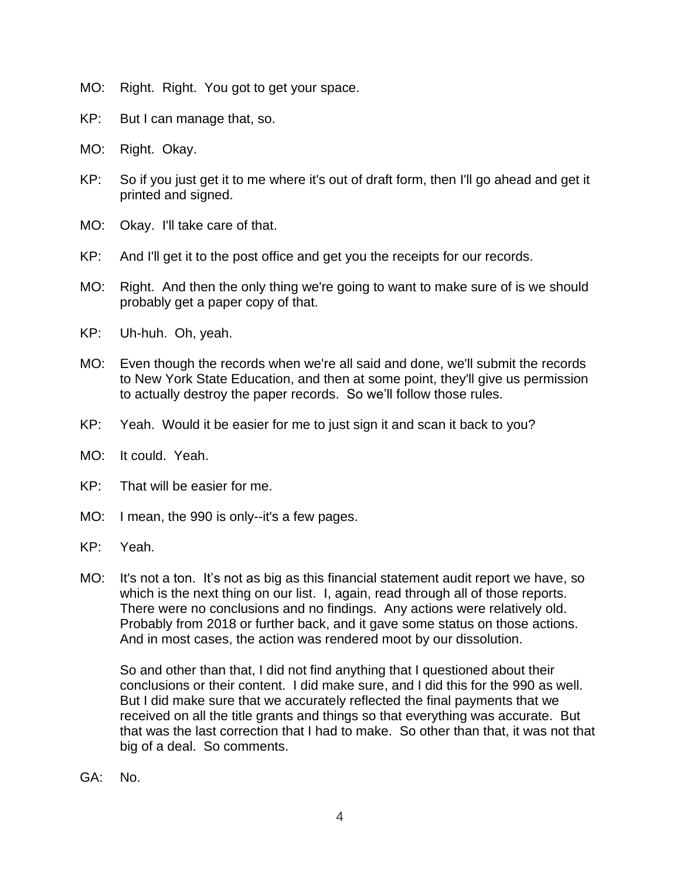- MO: Right. Right. You got to get your space.
- KP: But I can manage that, so.
- MO: Right. Okay.
- KP: So if you just get it to me where it's out of draft form, then I'll go ahead and get it printed and signed.
- MO: Okay. I'll take care of that.
- KP: And I'll get it to the post office and get you the receipts for our records.
- MO: Right. And then the only thing we're going to want to make sure of is we should probably get a paper copy of that.
- KP: Uh-huh. Oh, yeah.
- MO: Even though the records when we're all said and done, we'll submit the records to New York State Education, and then at some point, they'll give us permission to actually destroy the paper records. So we'll follow those rules.
- KP: Yeah. Would it be easier for me to just sign it and scan it back to you?
- MO: It could. Yeah.
- KP: That will be easier for me.
- MO: I mean, the 990 is only--it's a few pages.
- KP: Yeah.
- MO: It's not a ton. It's not as big as this financial statement audit report we have, so which is the next thing on our list. I, again, read through all of those reports. There were no conclusions and no findings. Any actions were relatively old. Probably from 2018 or further back, and it gave some status on those actions. And in most cases, the action was rendered moot by our dissolution.

So and other than that, I did not find anything that I questioned about their conclusions or their content. I did make sure, and I did this for the 990 as well. But I did make sure that we accurately reflected the final payments that we received on all the title grants and things so that everything was accurate. But that was the last correction that I had to make. So other than that, it was not that big of a deal. So comments.

GA: No.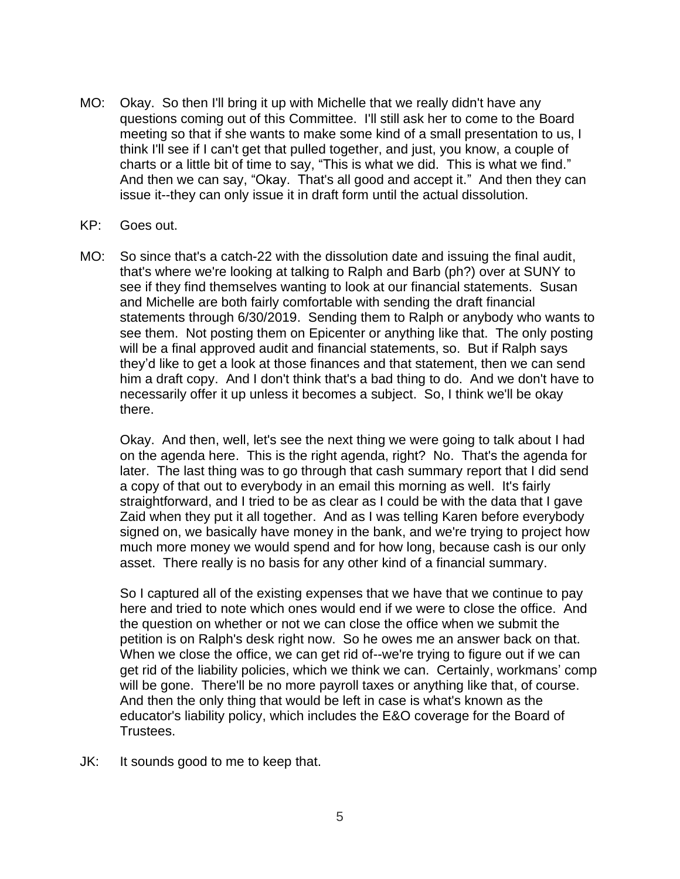- MO: Okay. So then I'll bring it up with Michelle that we really didn't have any questions coming out of this Committee. I'll still ask her to come to the Board meeting so that if she wants to make some kind of a small presentation to us, I think I'll see if I can't get that pulled together, and just, you know, a couple of charts or a little bit of time to say, "This is what we did. This is what we find." And then we can say, "Okay. That's all good and accept it." And then they can issue it--they can only issue it in draft form until the actual dissolution.
- KP: Goes out.
- MO: So since that's a catch-22 with the dissolution date and issuing the final audit, that's where we're looking at talking to Ralph and Barb (ph?) over at SUNY to see if they find themselves wanting to look at our financial statements. Susan and Michelle are both fairly comfortable with sending the draft financial statements through 6/30/2019. Sending them to Ralph or anybody who wants to see them. Not posting them on Epicenter or anything like that. The only posting will be a final approved audit and financial statements, so. But if Ralph says they'd like to get a look at those finances and that statement, then we can send him a draft copy. And I don't think that's a bad thing to do. And we don't have to necessarily offer it up unless it becomes a subject. So, I think we'll be okay there.

Okay. And then, well, let's see the next thing we were going to talk about I had on the agenda here. This is the right agenda, right? No. That's the agenda for later. The last thing was to go through that cash summary report that I did send a copy of that out to everybody in an email this morning as well. It's fairly straightforward, and I tried to be as clear as I could be with the data that I gave Zaid when they put it all together. And as I was telling Karen before everybody signed on, we basically have money in the bank, and we're trying to project how much more money we would spend and for how long, because cash is our only asset. There really is no basis for any other kind of a financial summary.

So I captured all of the existing expenses that we have that we continue to pay here and tried to note which ones would end if we were to close the office. And the question on whether or not we can close the office when we submit the petition is on Ralph's desk right now. So he owes me an answer back on that. When we close the office, we can get rid of--we're trying to figure out if we can get rid of the liability policies, which we think we can. Certainly, workmans' comp will be gone. There'll be no more payroll taxes or anything like that, of course. And then the only thing that would be left in case is what's known as the educator's liability policy, which includes the E&O coverage for the Board of Trustees.

JK: It sounds good to me to keep that.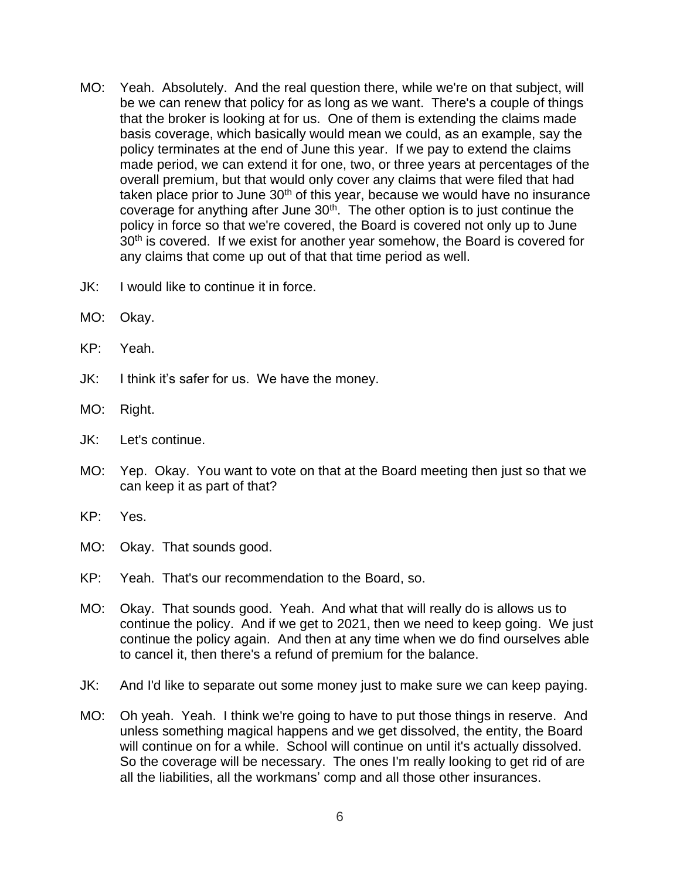- MO: Yeah. Absolutely. And the real question there, while we're on that subject, will be we can renew that policy for as long as we want. There's a couple of things that the broker is looking at for us. One of them is extending the claims made basis coverage, which basically would mean we could, as an example, say the policy terminates at the end of June this year. If we pay to extend the claims made period, we can extend it for one, two, or three years at percentages of the overall premium, but that would only cover any claims that were filed that had taken place prior to June  $30<sup>th</sup>$  of this year, because we would have no insurance coverage for anything after June  $30<sup>th</sup>$ . The other option is to just continue the policy in force so that we're covered, the Board is covered not only up to June 30<sup>th</sup> is covered. If we exist for another year somehow, the Board is covered for any claims that come up out of that that time period as well.
- JK: I would like to continue it in force.
- MO: Okay.
- KP: Yeah.
- JK: I think it's safer for us. We have the money.
- MO: Right.
- JK: Let's continue.
- MO: Yep. Okay. You want to vote on that at the Board meeting then just so that we can keep it as part of that?
- KP: Yes.
- MO: Okay. That sounds good.
- KP: Yeah. That's our recommendation to the Board, so.
- MO: Okay. That sounds good. Yeah. And what that will really do is allows us to continue the policy. And if we get to 2021, then we need to keep going. We just continue the policy again. And then at any time when we do find ourselves able to cancel it, then there's a refund of premium for the balance.
- JK: And I'd like to separate out some money just to make sure we can keep paying.
- MO: Oh yeah. Yeah. I think we're going to have to put those things in reserve. And unless something magical happens and we get dissolved, the entity, the Board will continue on for a while. School will continue on until it's actually dissolved. So the coverage will be necessary. The ones I'm really looking to get rid of are all the liabilities, all the workmans' comp and all those other insurances.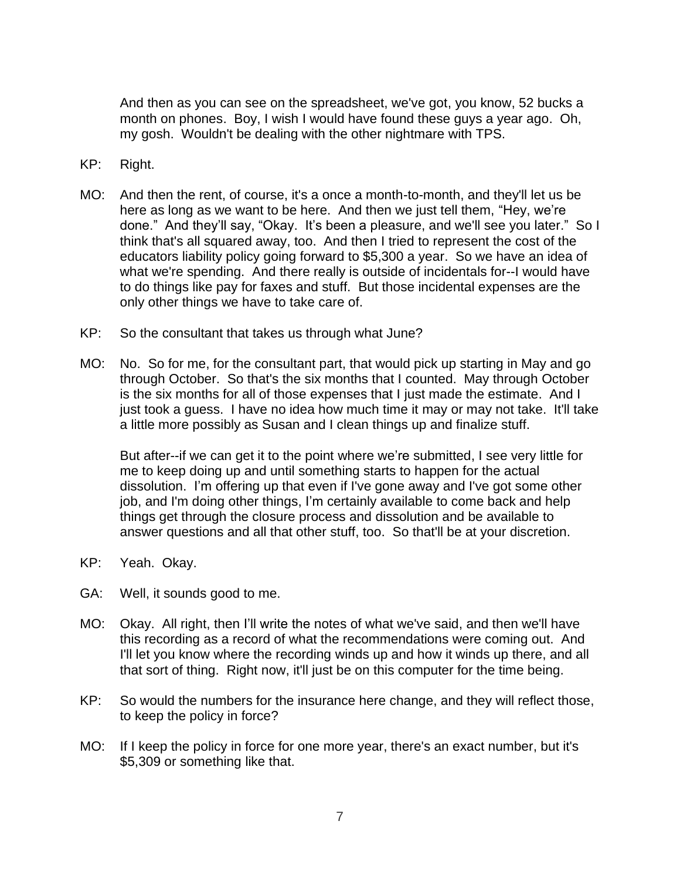And then as you can see on the spreadsheet, we've got, you know, 52 bucks a month on phones. Boy, I wish I would have found these guys a year ago. Oh, my gosh. Wouldn't be dealing with the other nightmare with TPS.

- KP: Right.
- MO: And then the rent, of course, it's a once a month-to-month, and they'll let us be here as long as we want to be here. And then we just tell them, "Hey, we're done." And they'll say, "Okay. It's been a pleasure, and we'll see you later." So I think that's all squared away, too. And then I tried to represent the cost of the educators liability policy going forward to \$5,300 a year. So we have an idea of what we're spending. And there really is outside of incidentals for--I would have to do things like pay for faxes and stuff. But those incidental expenses are the only other things we have to take care of.
- KP: So the consultant that takes us through what June?
- MO: No. So for me, for the consultant part, that would pick up starting in May and go through October. So that's the six months that I counted. May through October is the six months for all of those expenses that I just made the estimate. And I just took a guess. I have no idea how much time it may or may not take. It'll take a little more possibly as Susan and I clean things up and finalize stuff.

But after--if we can get it to the point where we're submitted, I see very little for me to keep doing up and until something starts to happen for the actual dissolution. I'm offering up that even if I've gone away and I've got some other job, and I'm doing other things, I'm certainly available to come back and help things get through the closure process and dissolution and be available to answer questions and all that other stuff, too. So that'll be at your discretion.

- KP: Yeah. Okay.
- GA: Well, it sounds good to me.
- MO: Okay. All right, then I'll write the notes of what we've said, and then we'll have this recording as a record of what the recommendations were coming out. And I'll let you know where the recording winds up and how it winds up there, and all that sort of thing. Right now, it'll just be on this computer for the time being.
- KP: So would the numbers for the insurance here change, and they will reflect those, to keep the policy in force?
- MO: If I keep the policy in force for one more year, there's an exact number, but it's \$5,309 or something like that.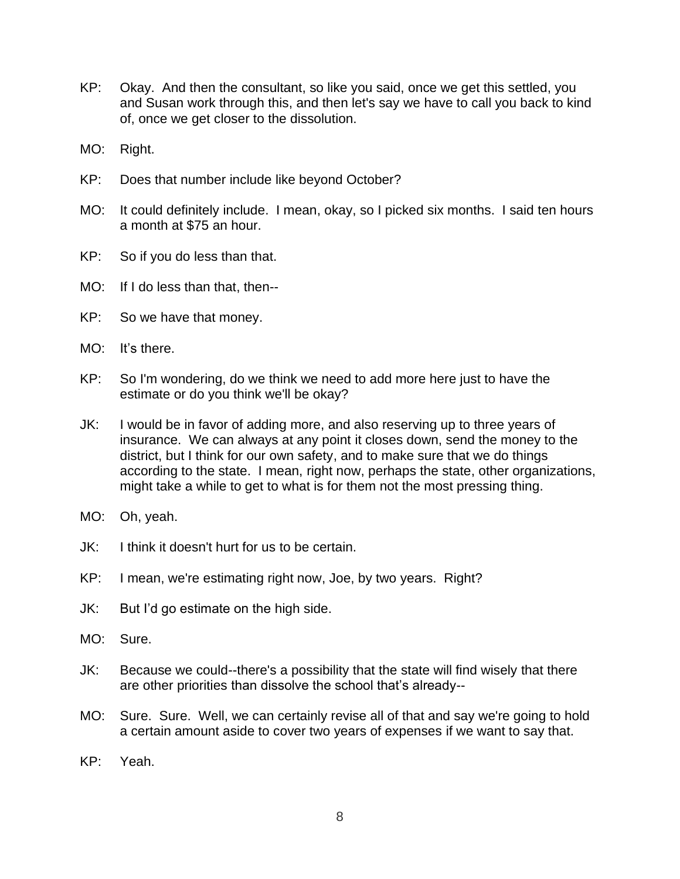- KP: Okay. And then the consultant, so like you said, once we get this settled, you and Susan work through this, and then let's say we have to call you back to kind of, once we get closer to the dissolution.
- MO: Right.
- KP: Does that number include like beyond October?
- MO: It could definitely include. I mean, okay, so I picked six months. I said ten hours a month at \$75 an hour.
- KP: So if you do less than that.
- MO: If I do less than that, then--
- KP: So we have that money.
- MO: It's there.
- KP: So I'm wondering, do we think we need to add more here just to have the estimate or do you think we'll be okay?
- JK: I would be in favor of adding more, and also reserving up to three years of insurance. We can always at any point it closes down, send the money to the district, but I think for our own safety, and to make sure that we do things according to the state. I mean, right now, perhaps the state, other organizations, might take a while to get to what is for them not the most pressing thing.
- MO: Oh, yeah.
- JK: I think it doesn't hurt for us to be certain.
- KP: I mean, we're estimating right now, Joe, by two years. Right?
- JK: But I'd go estimate on the high side.
- MO: Sure.
- JK: Because we could--there's a possibility that the state will find wisely that there are other priorities than dissolve the school that's already--
- MO: Sure. Sure. Well, we can certainly revise all of that and say we're going to hold a certain amount aside to cover two years of expenses if we want to say that.
- KP: Yeah.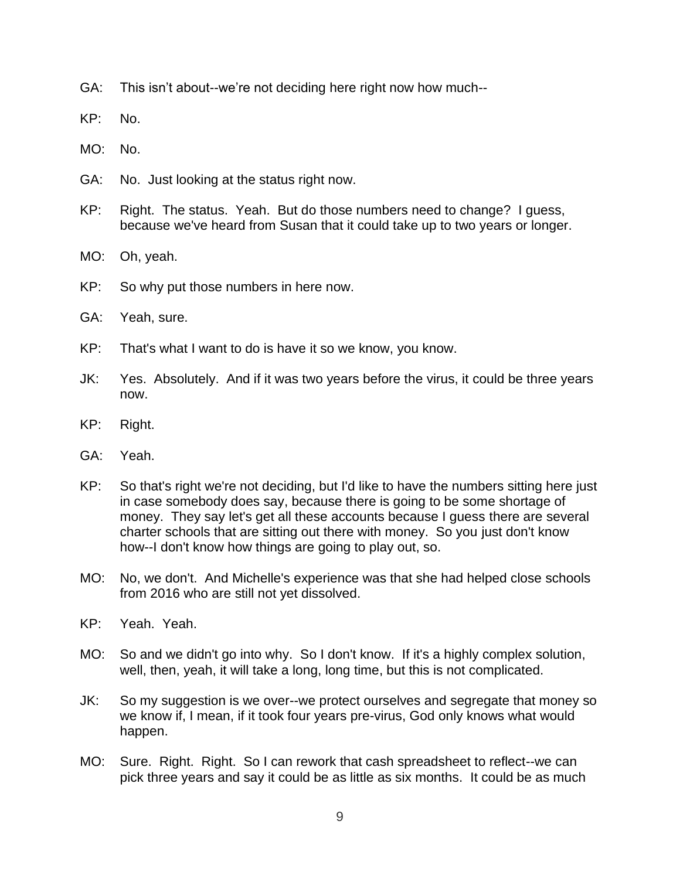- GA: This isn't about--we're not deciding here right now how much--
- KP: No.
- MO: No.
- GA: No. Just looking at the status right now.
- KP: Right. The status. Yeah. But do those numbers need to change? I guess, because we've heard from Susan that it could take up to two years or longer.
- MO: Oh, yeah.
- KP: So why put those numbers in here now.
- GA: Yeah, sure.
- KP: That's what I want to do is have it so we know, you know.
- JK: Yes. Absolutely. And if it was two years before the virus, it could be three years now.
- KP: Right.
- GA: Yeah.
- KP: So that's right we're not deciding, but I'd like to have the numbers sitting here just in case somebody does say, because there is going to be some shortage of money. They say let's get all these accounts because I guess there are several charter schools that are sitting out there with money. So you just don't know how--I don't know how things are going to play out, so.
- MO: No, we don't. And Michelle's experience was that she had helped close schools from 2016 who are still not yet dissolved.
- KP: Yeah. Yeah.
- MO: So and we didn't go into why. So I don't know. If it's a highly complex solution, well, then, yeah, it will take a long, long time, but this is not complicated.
- JK: So my suggestion is we over--we protect ourselves and segregate that money so we know if, I mean, if it took four years pre-virus, God only knows what would happen.
- MO: Sure. Right. Right. So I can rework that cash spreadsheet to reflect--we can pick three years and say it could be as little as six months. It could be as much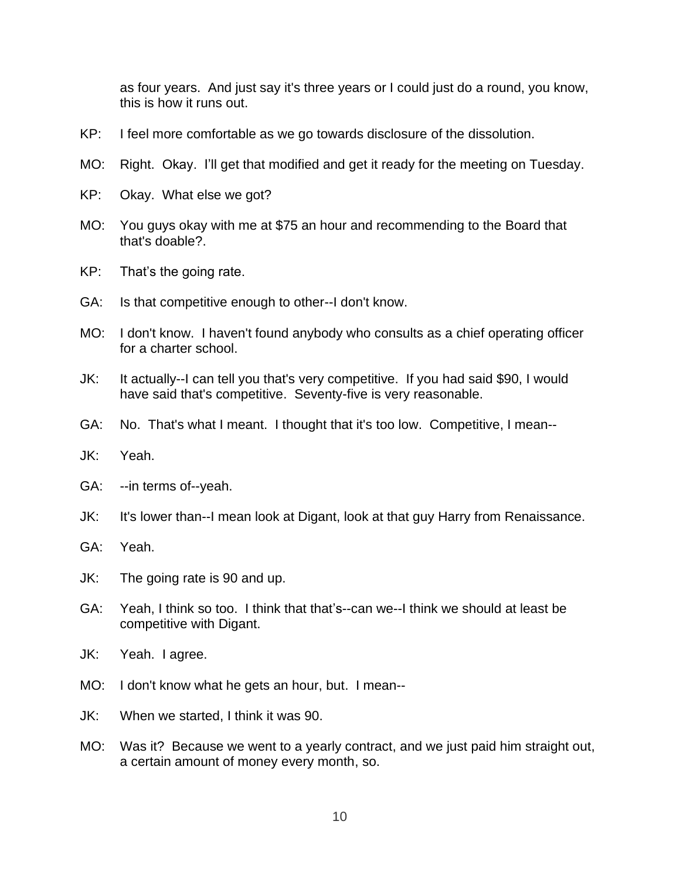as four years. And just say it's three years or I could just do a round, you know, this is how it runs out.

- KP: I feel more comfortable as we go towards disclosure of the dissolution.
- MO: Right. Okay. I'll get that modified and get it ready for the meeting on Tuesday.
- KP: Okay. What else we got?
- MO: You guys okay with me at \$75 an hour and recommending to the Board that that's doable?.
- KP: That's the going rate.
- GA: Is that competitive enough to other--I don't know.
- MO: I don't know. I haven't found anybody who consults as a chief operating officer for a charter school.
- JK: It actually--I can tell you that's very competitive. If you had said \$90, I would have said that's competitive. Seventy-five is very reasonable.
- GA: No. That's what I meant. I thought that it's too low. Competitive, I mean--
- JK: Yeah.
- GA: --in terms of--yeah.
- JK: It's lower than--I mean look at Digant, look at that guy Harry from Renaissance.
- GA: Yeah.
- JK: The going rate is 90 and up.
- GA: Yeah, I think so too. I think that that's--can we--I think we should at least be competitive with Digant.
- JK: Yeah. I agree.
- MO: I don't know what he gets an hour, but. I mean--
- JK: When we started, I think it was 90.
- MO: Was it? Because we went to a yearly contract, and we just paid him straight out, a certain amount of money every month, so.